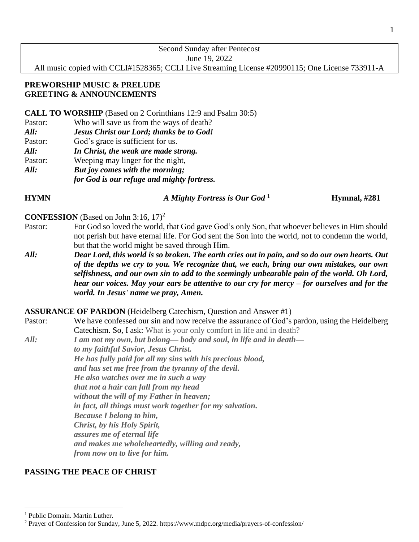| Second Sunday after Pentecost                                                                   |
|-------------------------------------------------------------------------------------------------|
| June 19, 2022                                                                                   |
| All music copied with CCLI#1528365; CCLI Live Streaming License #20990115; One License 733911-A |

## **PREWORSHIP MUSIC & PRELUDE GREETING & ANNOUNCEMENTS**

### **CALL TO WORSHIP** (Based on 2 Corinthians 12:9 and Psalm 30:5)

- Pastor: Who will save us from the ways of death?
- *All: Jesus Christ our Lord; thanks be to God!*
- Pastor: God's grace is sufficient for us.
- *All: In Christ, the weak are made strong.*
- Pastor: Weeping may linger for the night,
- *All: But joy comes with the morning;*
	- *for God is our refuge and mighty fortress.*

**HYMN** *A Mighty Fortress is Our God* <sup>1</sup>

**Hymnal, #281**

## **CONFESSION** (Based on John 3:16, 17)<sup>2</sup>

- Pastor: For God so loved the world, that God gave God's only Son, that whoever believes in Him should not perish but have eternal life. For God sent the Son into the world, not to condemn the world, but that the world might be saved through Him.
- *All: Dear Lord, this world is so broken. The earth cries out in pain, and so do our own hearts. Out of the depths we cry to you. We recognize that, we each, bring our own mistakes, our own selfishness, and our own sin to add to the seemingly unbearable pain of the world. Oh Lord, hear our voices. May your ears be attentive to our cry for mercy – for ourselves and for the world. In Jesus' name we pray, Amen.*

### **ASSURANCE OF PARDON** (Heidelberg Catechism, Question and Answer #1)

- Pastor: We have confessed our sin and now receive the assurance of God's pardon, using the Heidelberg Catechism. So, I ask: What is your only comfort in life and in death?
- *All: I am not my own, but belong— body and soul, in life and in death to my faithful Savior, Jesus Christ. He has fully paid for all my sins with his precious blood, and has set me free from the tyranny of the devil. He also watches over me in such a way that not a hair can fall from my head without the will of my Father in heaven; in fact, all things must work together for my salvation. Because I belong to him, Christ, by his Holy Spirit, assures me of eternal life and makes me wholeheartedly, willing and ready, from now on to live for him.*

# **PASSING THE PEACE OF CHRIST**

<sup>&</sup>lt;sup>1</sup> Public Domain. Martin Luther.

<sup>2</sup> Prayer of Confession for Sunday, June 5, 2022. https://www.mdpc.org/media/prayers-of-confession/